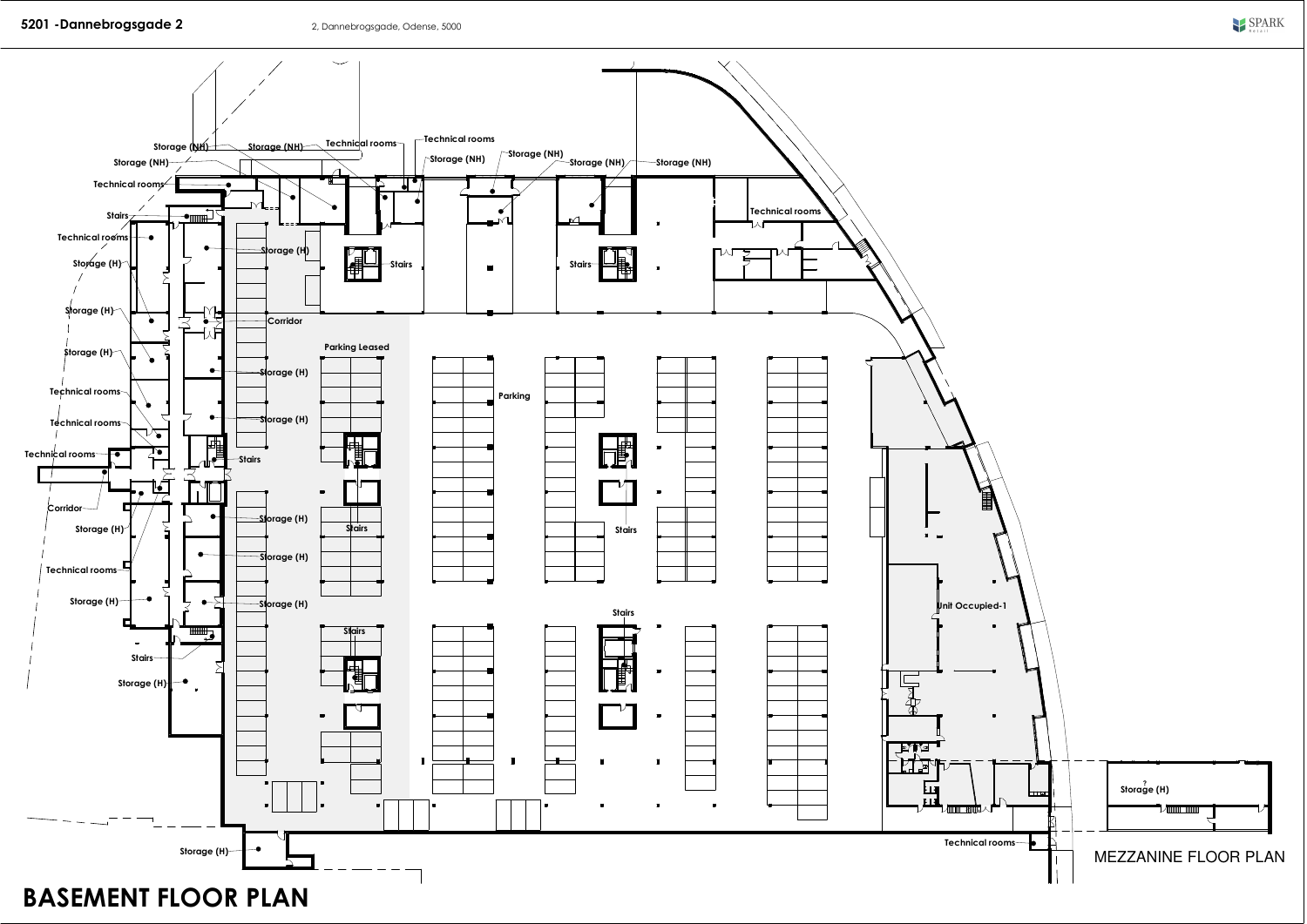

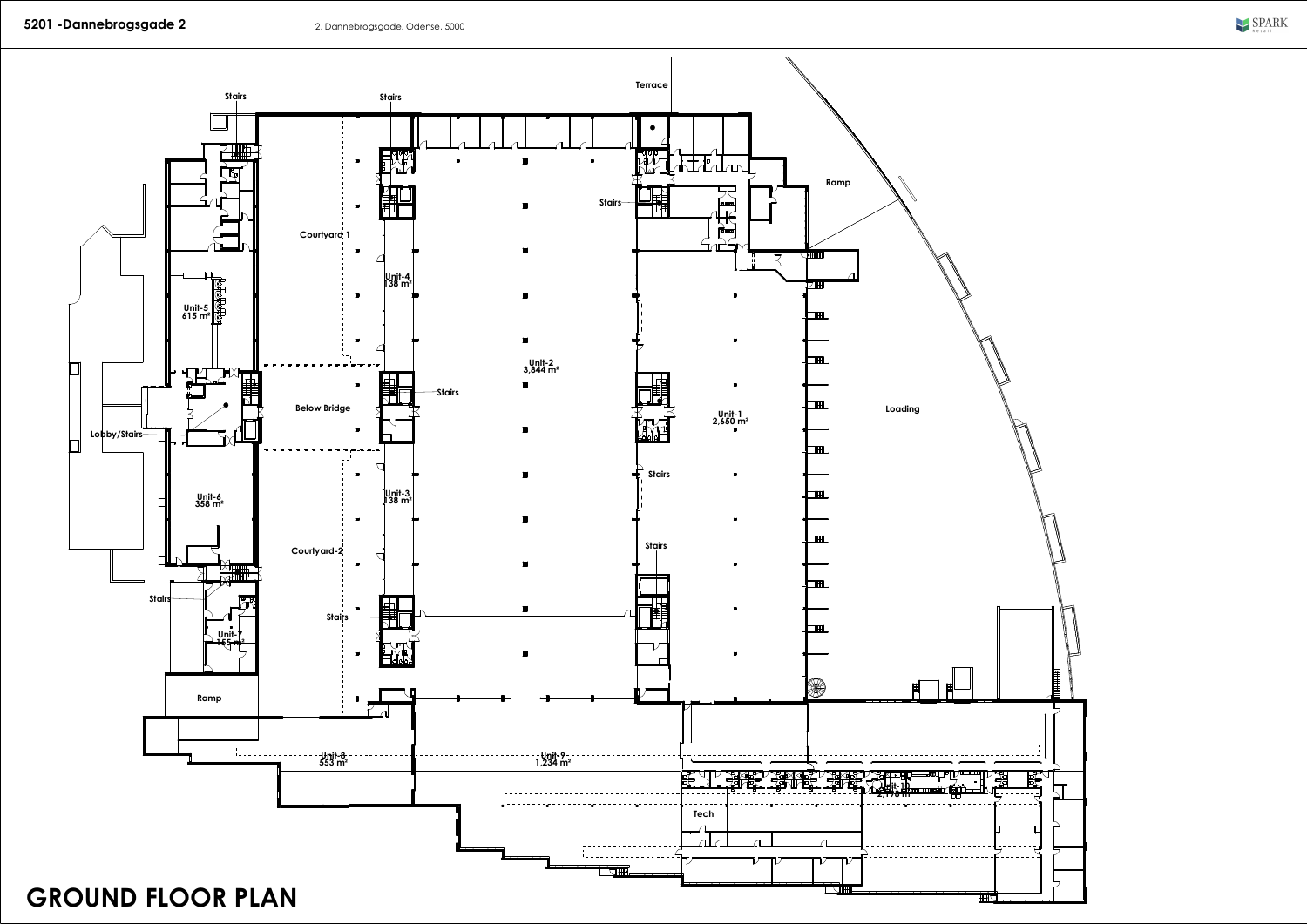

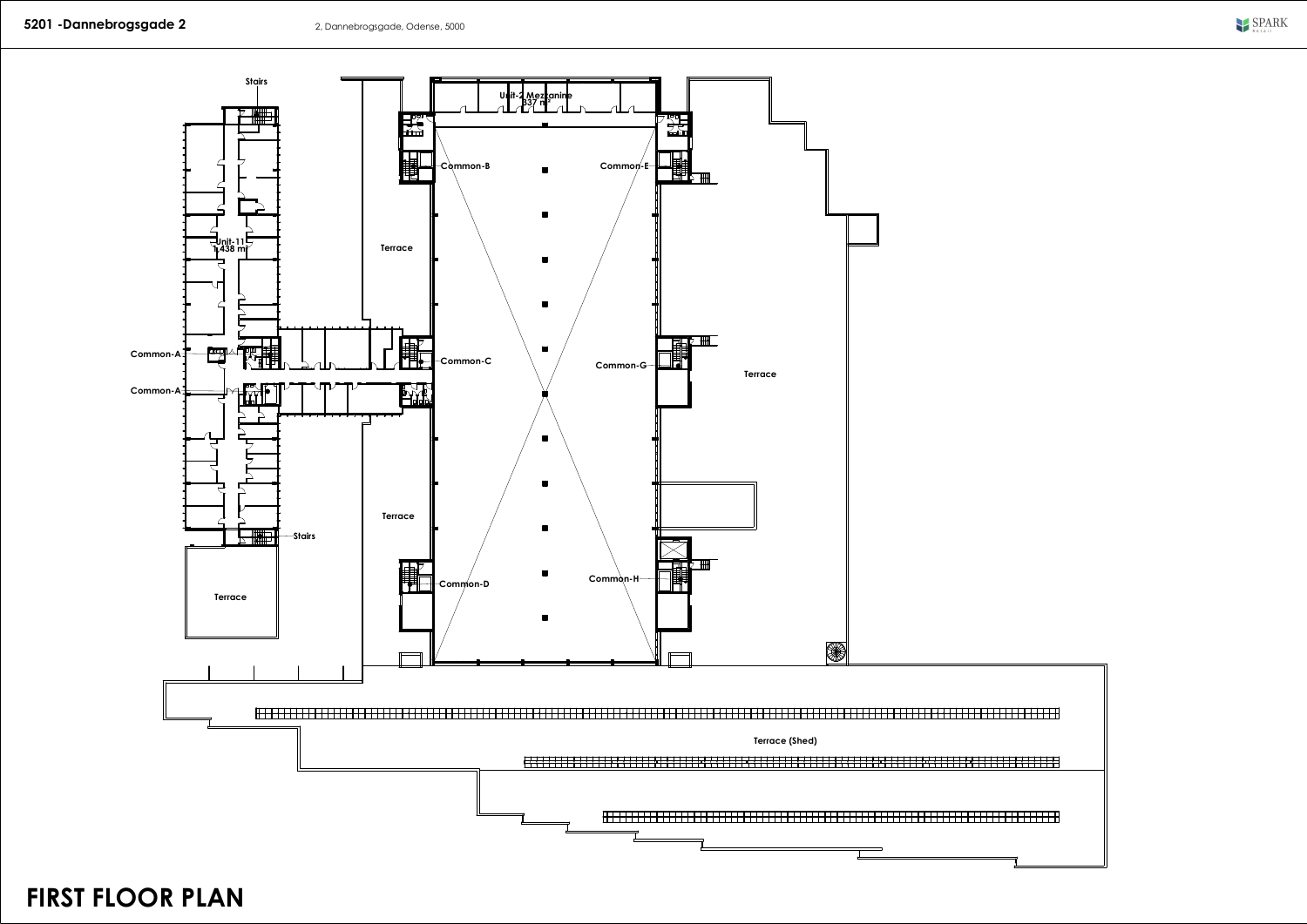

**FIRST FLOOR PLAN**



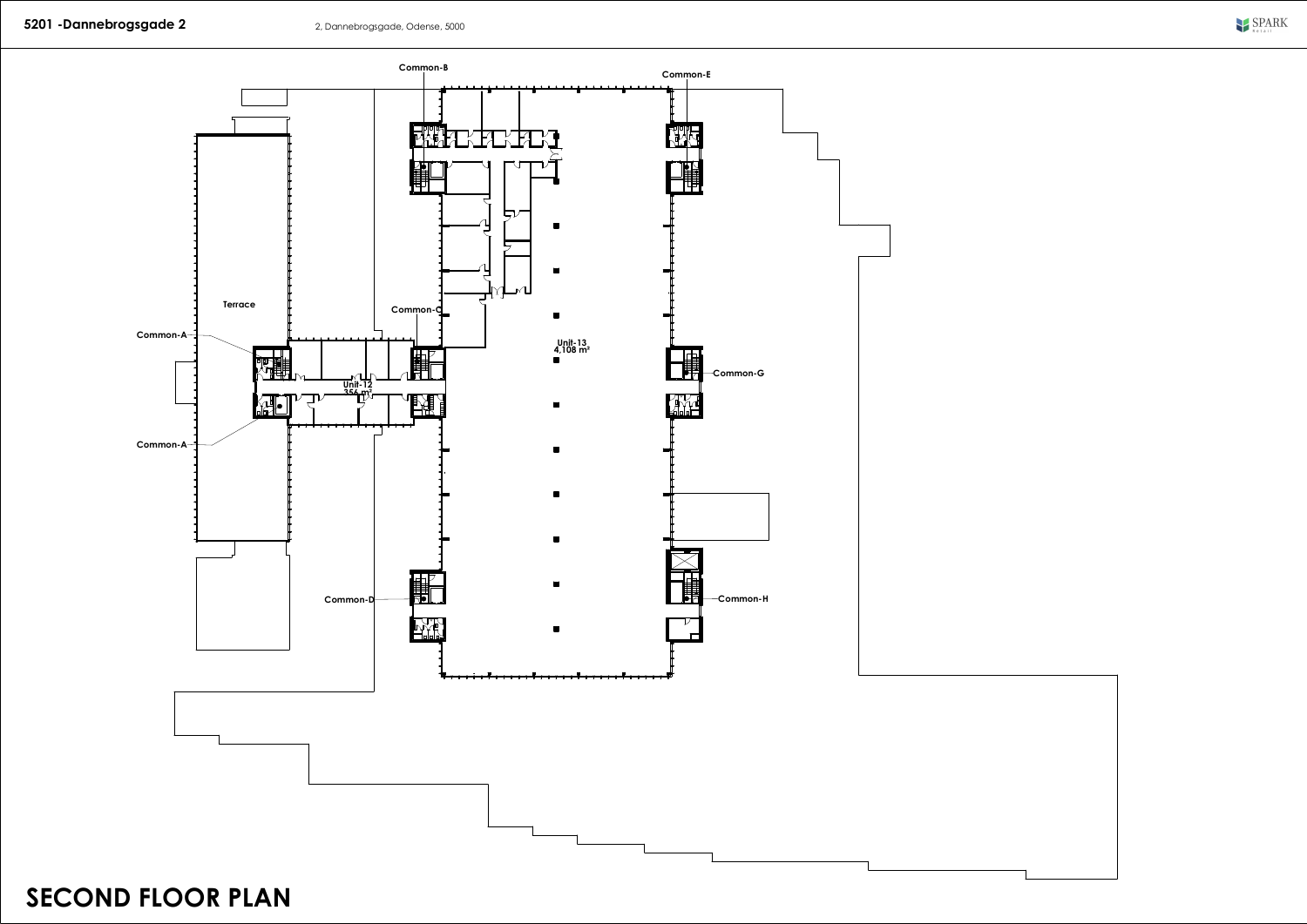

**SECOND FLOOR PLAN**